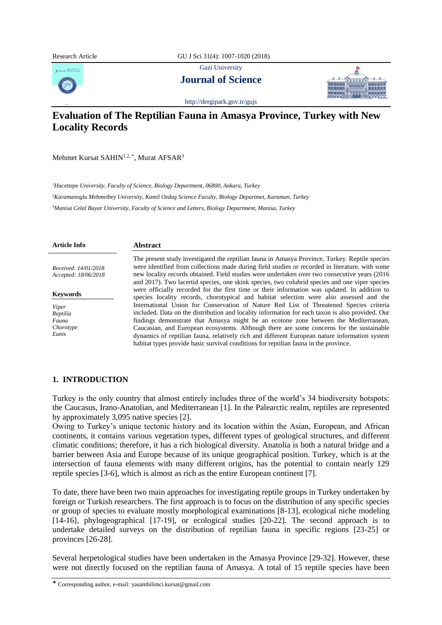Research Article GU J Sci 31(4): 1007-1020 (2018)

Gazi University



**Journal of Science**



<http://dergipark.gov.tr/gujs>

# **Evaluation of The Reptilian Fauna in Amasya Province, Turkey with New Locality Records**

Mehmet Kursat SAHIN $^{1,2, *}$ , Murat AFSAR $^3$ 

*<sup>1</sup>Hacettepe University, Faculty of Science, Biology Department, 06800, Ankara, Turkey*

*<sup>2</sup>Karamanoglu Mehmetbey University, Kamil Ozdag Science Faculty, Biology Departmet, Karaman, Turkey <sup>3</sup>Manisa Celal Bayar University, Faculty of Science and Letters, Biology Department, Manisa, Turkey*

| <b>Article Info</b>                          | <b>Abstract</b>                                                                                                                                                                                                                                                                                                                                                                                       |
|----------------------------------------------|-------------------------------------------------------------------------------------------------------------------------------------------------------------------------------------------------------------------------------------------------------------------------------------------------------------------------------------------------------------------------------------------------------|
| Received: 14/01/2018<br>Accepted: 18/06/2018 | The present study investigated the reptilian fauna in Amasya Province, Turkey. Reptile species<br>were identified from collections made during field studies or recorded in literature, with some<br>new locality records obtained. Field studies were undertaken over two consecutive years (2016)<br>and 2017). Two lacertid species, one skink species, two colubrid species and one viper species |
| <b>Keywords</b>                              | were officially recorded for the first time or their information was updated. In addition to<br>species locality records, chorotypical and habitat selection were also assessed and the                                                                                                                                                                                                               |
| Viper<br>Reptilia<br>Fauna                   | International Union for Conservation of Nature Red List of Threatened Species criteria<br>included. Data on the distribution and locality information for each taxon is also provided. Our<br>findings demonstrate that Amasya might be an ecotone zone between the Mediterranean,                                                                                                                    |
| Chorotype<br>Eunis                           | Caucasian, and European ecosystems. Although there are some concerns for the sustainable<br>dynamics of reptilian fauna, relatively rich and different European nature information system<br>habitat types provide basic survival conditions for reptilian fauna in the province.                                                                                                                     |

## **1. INTRODUCTION**

Turkey is the only country that almost entirely includes three of the world's 34 biodiversity hotspots: the Caucasus, Irano-Anatolian, and Mediterranean [1]. In the Palearctic realm, reptiles are represented by approximately 3,095 native species [2].

Owing to Turkey's unique tectonic history and its location within the Asian, European, and African continents, it contains various vegetation types, different types of geological structures, and different climatic conditions; therefore, it has a rich biological diversity. Anatolia is both a natural bridge and a barrier between Asia and Europe because of its unique geographical position. Turkey, which is at the intersection of fauna elements with many different origins, has the potential to contain nearly 129 reptile species [3-6], which is almost as rich as the entire European continent [7].

To date, there have been two main approaches for investigating reptile groups in Turkey undertaken by foreign or Turkish researchers. The first approach is to focus on the distribution of any specific species or group of species to evaluate mostly morphological examinations [8-13], ecological niche modeling [14-16], phylogeographical [17-19], or ecological studies [20-22]. The second approach is to undertake detailed surveys on the distribution of reptilian fauna in specific regions [23-25] or provinces [26-28].

Several herpetological studies have been undertaken in the Amasya Province [29-32]. However, these were not directly focused on the reptilian fauna of Amasya. A total of 15 reptile species have been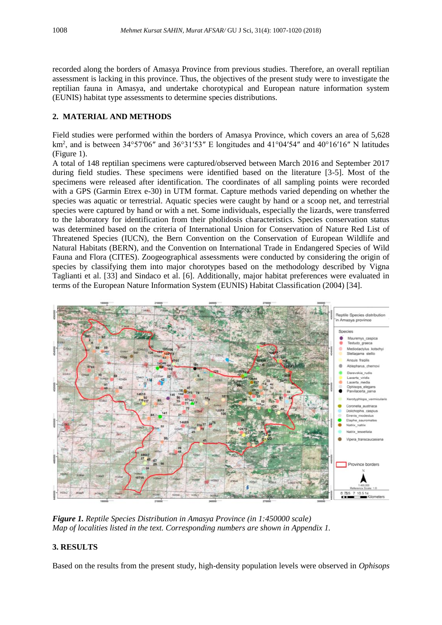recorded along the borders of Amasya Province from previous studies. Therefore, an overall reptilian assessment is lacking in this province. Thus, the objectives of the present study were to investigate the reptilian fauna in Amasya, and undertake chorotypical and European nature information system (EUNIS) habitat type assessments to determine species distributions.

## **2. MATERIAL AND METHODS**

Field studies were performed within the borders of Amasya Province, which covers an area of 5,628 km<sup>2</sup>, and is between 34°57′06″ and 36°31′53″ E longitudes and 41°04′54″ and 40°16′16″ N latitudes (Figure 1).

A total of 148 reptilian specimens were captured/observed between March 2016 and September 2017 during field studies. These specimens were identified based on the literature [3-5]. Most of the specimens were released after identification. The coordinates of all sampling points were recorded with a GPS (Garmin Etrex e-30) in UTM format. Capture methods varied depending on whether the species was aquatic or terrestrial. Aquatic species were caught by hand or a scoop net, and terrestrial species were captured by hand or with a net. Some individuals, especially the lizards, were transferred to the laboratory for identification from their pholidosis characteristics. Species conservation status was determined based on the criteria of International Union for Conservation of Nature Red List of Threatened Species (IUCN), the Bern Convention on the Conservation of European Wildlife and Natural Habitats (BERN), and the Convention on International Trade in Endangered Species of Wild Fauna and Flora (CITES). Zoogeographical assessments were conducted by considering the origin of species by classifying them into major chorotypes based on the methodology described by Vigna Taglianti et al. [33] and Sindaco et al. [6]. Additionally, major habitat preferences were evaluated in terms of the European Nature Information System (EUNIS) Habitat Classification (2004) [34].



*Figure 1. Reptile Species Distribution in Amasya Province (in 1:450000 scale) Map of localities listed in the text. Corresponding numbers are shown in Appendix 1.*

# **3. RESULTS**

Based on the results from the present study, high-density population levels were observed in *Ophisops*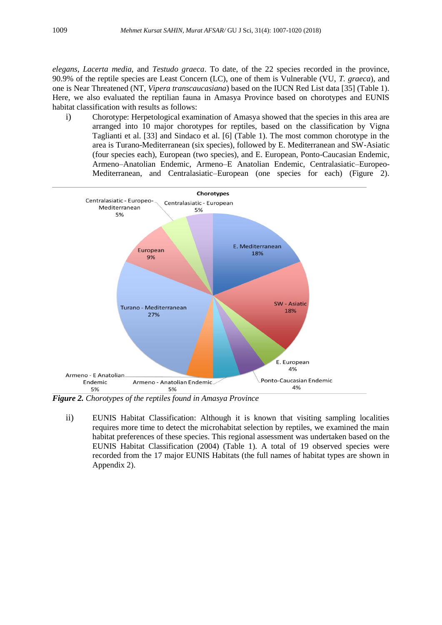*elegans*, *Lacerta media,* and *Testudo graeca*. To date, of the 22 species recorded in the province, 90.9% of the reptile species are Least Concern (LC), one of them is Vulnerable (VU, *T. graeca*), and one is Near Threatened (NT, *Vipera transcaucasiana*) based on the IUCN Red List data [35] (Table 1). Here, we also evaluated the reptilian fauna in Amasya Province based on chorotypes and EUNIS habitat classification with results as follows:

i) Chorotype: Herpetological examination of Amasya showed that the species in this area are arranged into 10 major chorotypes for reptiles, based on the classification by Vigna Taglianti et al. [33] and Sindaco et al. [6] (Table 1). The most common chorotype in the area is Turano-Mediterranean (six species), followed by E. Mediterranean and SW-Asiatic (four species each), European (two species), and E. European, Ponto-Caucasian Endemic, Armeno–Anatolian Endemic, Armeno–E Anatolian Endemic, Centralasiatic–Europeo-Mediterranean, and Centralasiatic–European (one species for each) (Figure 2).



*Figure 2. Chorotypes of the reptiles found in Amasya Province*

ii) EUNIS Habitat Classification: Although it is known that visiting sampling localities requires more time to detect the microhabitat selection by reptiles, we examined the main habitat preferences of these species. This regional assessment was undertaken based on the EUNIS Habitat Classification (2004) (Table 1). A total of 19 observed species were recorded from the 17 major EUNIS Habitats (the full names of habitat types are shown in Appendix 2).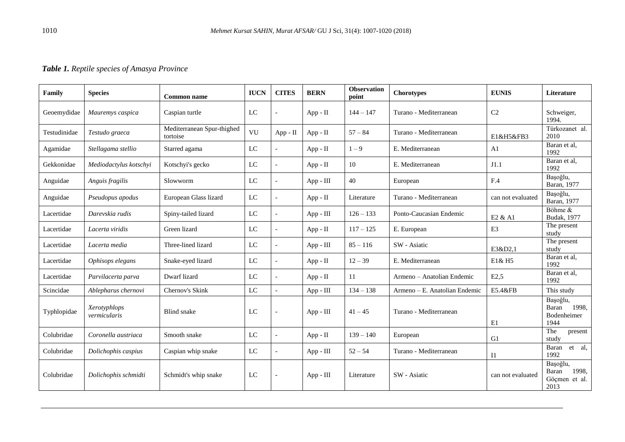# *Table 1. Reptile species of Amasya Province*

| Family       | <b>Species</b>               | Common name                            | <b>IUCN</b> | <b>CITES</b>             | <b>BERN</b> | <b>Observation</b><br>point | <b>Chorotypes</b>             | <b>EUNIS</b>      | Literature                                          |
|--------------|------------------------------|----------------------------------------|-------------|--------------------------|-------------|-----------------------------|-------------------------------|-------------------|-----------------------------------------------------|
| Geoemydidae  | Mauremys caspica             | Caspian turtle                         | LC          |                          | $App - II$  | $144 - 147$                 | Turano - Mediterranean        | C <sub>2</sub>    | Schweiger,<br>1994.                                 |
| Testudinidae | Testudo graeca               | Mediterranean Spur-thighed<br>tortoise | VU          | App - II                 | App - II    | $57 - 84$                   | Turano - Mediterranean        | E1&H5&FB3         | Türkozanet al.<br>2010                              |
| Agamidae     | Stellagama stellio           | Starred agama                          | LC          |                          | $App - II$  | $1 - 9$                     | E. Mediterranean              | A1                | Baran et al,<br>1992                                |
| Gekkonidae   | Mediodactylus kotschyi       | Kotschyi's gecko                       | ${\rm LC}$  | $\overline{a}$           | App - II    | 10                          | E. Mediterranean              | J1.1              | Baran et al,<br>1992                                |
| Anguidae     | Anguis fragilis              | Slowworm                               | LC          | $\overline{a}$           | App - III   | 40                          | European                      | F.4               | Başoğlu,<br>Baran, 1977                             |
| Anguidae     | Pseudopus apodus             | European Glass lizard                  | LC          | $\overline{a}$           | App - II    | Literature                  | Turano - Mediterranean        | can not evaluated | Başoğlu,<br>Baran, 1977                             |
| Lacertidae   | Darevskia rudis              | Spiny-tailed lizard                    | $\rm LC$    | $\overline{\phantom{a}}$ | App - III   | $126 - 133$                 | Ponto-Caucasian Endemic       | E2 & A1           | Böhme &<br><b>Budak</b> , 1977                      |
| Lacertidae   | Lacerta viridis              | Green lizard                           | LC          | $\overline{\phantom{a}}$ | App - II    | $117 - 125$                 | E. European                   | E <sub>3</sub>    | The present<br>study                                |
| Lacertidae   | Lacerta media                | Three-lined lizard                     | ${\rm LC}$  |                          | App - III   | $85 - 116$                  | SW - Asiatic                  | E3&D2,1           | The present<br>study                                |
| Lacertidae   | Ophisops elegans             | Snake-eyed lizard                      | LC          |                          | $App - II$  | $12 - 39$                   | E. Mediterranean              | E1& H5            | Baran et al,<br>1992                                |
| Lacertidae   | Parvilacerta parva           | Dwarf lizard                           | $_{\rm LC}$ |                          | App - II    | 11                          | Armeno - Anatolian Endemic    | E2,5              | Baran et al,<br>1992                                |
| Scincidae    | Ablepharus chernovi          | Chernov's Skink                        | $_{\rm LC}$ | $\overline{a}$           | App - III   | $134 - 138$                 | Armeno - E. Anatolian Endemic | E5.4&FB           | This study                                          |
| Typhlopidae  | Xerotyphlops<br>vermicularis | <b>Blind</b> snake                     | LC          | $\overline{\phantom{a}}$ | App - III   | $41 - 45$                   | Turano - Mediterranean        | E1                | Bașoğlu,<br>Baran<br>1998.<br>Bodenheimer<br>1944   |
| Colubridae   | Coronella austriaca          | Smooth snake                           | LC          |                          | $App - II$  | $139 - 140$                 | European                      | G1                | The<br>present<br>study                             |
| Colubridae   | Dolichophis caspius          | Caspian whip snake                     | ${\rm LC}$  |                          | App - III   | $52 - 54$                   | Turano - Mediterranean        | $_{\rm II}$       | Baran<br>et al,<br>1992                             |
| Colubridae   | Dolichophis schmidti         | Schmidt's whip snake                   | LC          |                          | App - III   | Literature                  | SW - Asiatic                  | can not evaluated | Bașoğlu,<br>Baran<br>1998,<br>Göçmen et al.<br>2013 |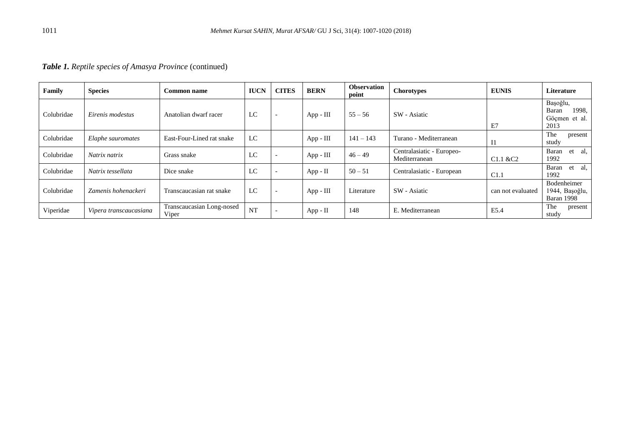|  |  |  |  |  | Table 1. Reptile species of Amasya Province (continued) |
|--|--|--|--|--|---------------------------------------------------------|
|--|--|--|--|--|---------------------------------------------------------|

| Family     | <b>Species</b>         | <b>Common name</b>                 | <b>IUCN</b> | <b>CITES</b>             | <b>BERN</b> | <b>Observation</b><br>point | Chorotypes                                 | <b>EUNIS</b>      | Literature                                          |
|------------|------------------------|------------------------------------|-------------|--------------------------|-------------|-----------------------------|--------------------------------------------|-------------------|-----------------------------------------------------|
| Colubridae | Eirenis modestus       | Anatolian dwarf racer              | LC          | $\overline{\phantom{a}}$ | App - III   | $55 - 56$                   | SW - Asiatic                               | E7                | Başoğlu,<br>1998.<br>Baran<br>Göçmen et al.<br>2013 |
| Colubridae | Elaphe sauromates      | East-Four-Lined rat snake          | LC          |                          | $App - III$ | $141 - 143$                 | Turano - Mediterranean                     | $_{11}$           | The<br>present<br>study                             |
| Colubridae | Natrix natrix          | Grass snake                        | LC          |                          | $App - III$ | $46 - 49$                   | Centralasiatic - Europeo-<br>Mediterranean | C1.1 & C2         | Baran<br>et<br>al.<br>1992                          |
| Colubridae | Natrix tessellata      | Dice snake                         | LC          | $\overline{\phantom{0}}$ | App - $II$  | $50 - 51$                   | Centralasiatic - European                  | C1.1              | Baran<br>et al,<br>1992                             |
| Colubridae | Zamenis hohenackeri    | Transcaucasian rat snake           | LC          | $\overline{\phantom{0}}$ | $App - III$ | Literature                  | SW - Asiatic                               | can not evaluated | Bodenheimer<br>1944, Başoğlu,<br>Baran 1998         |
| Viperidae  | Vipera transcaucasiana | Transcaucasian Long-nosed<br>Viper | <b>NT</b>   |                          | App - II    | 148                         | E. Mediterranean                           | E5.4              | The<br>present<br>study                             |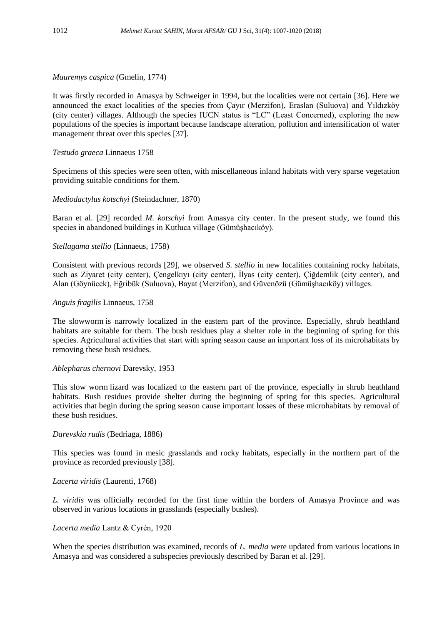*Mauremys caspica* (Gmelin, 1774)

It was firstly recorded in Amasya by Schweiger in 1994, but the localities were not certain [36]. Here we announced the exact localities of the species from Çayır (Merzifon), Eraslan (Suluova) and Yıldızköy (city center) villages. Although the species IUCN status is "LC" (Least Concerned), exploring the new populations of the species is important because landscape alteration, pollution and intensification of water management threat over this species [37].

## *Testudo graeca* Linnaeus 1758

Specimens of this species were seen often, with miscellaneous inland habitats with very sparse vegetation providing suitable conditions for them.

## *Mediodactylus kotschyi* (Steindachner, 1870)

Baran et al. [29] recorded *M. kotschyi* from Amasya city center. In the present study, we found this species in abandoned buildings in Kutluca village (Gümüşhacıköy).

## *Stellagama stellio* (Linnaeus, 1758)

Consistent with previous records [29], we observed *S. stellio* in new localities containing rocky habitats, such as Ziyaret (city center), Çengelkıyı (city center), İlyas (city center), Çiğdemlik (city center), and Alan (Göynücek), Eğribük (Suluova), Bayat (Merzifon), and Güvenözü (Gümüşhacıköy) villages.

#### *Anguis fragilis* Linnaeus, 1758

The slowworm is narrowly localized in the eastern part of the province. Especially, shrub heathland habitats are suitable for them. The bush residues play a shelter role in the beginning of spring for this species. Agricultural activities that start with spring season cause an important loss of its microhabitats by removing these bush residues.

#### *Ablepharus chernovi* Darevsky, 1953

This slow worm lizard was localized to the eastern part of the province, especially in shrub heathland habitats. Bush residues provide shelter during the beginning of spring for this species. Agricultural activities that begin during the spring season cause important losses of these microhabitats by removal of these bush residues.

#### *Darevskia rudis* (Bedriaga, 1886)

This species was found in mesic grasslands and rocky habitats, especially in the northern part of the province as recorded previously [38].

## *Lacerta viridis* (Laurenti, 1768)

*L. viridis* was officially recorded for the first time within the borders of Amasya Province and was observed in various locations in grasslands (especially bushes).

#### *Lacerta media* Lantz & Cyrén, 1920

When the species distribution was examined, records of *L. media* were updated from various locations in Amasya and was considered a subspecies previously described by Baran et al. [29].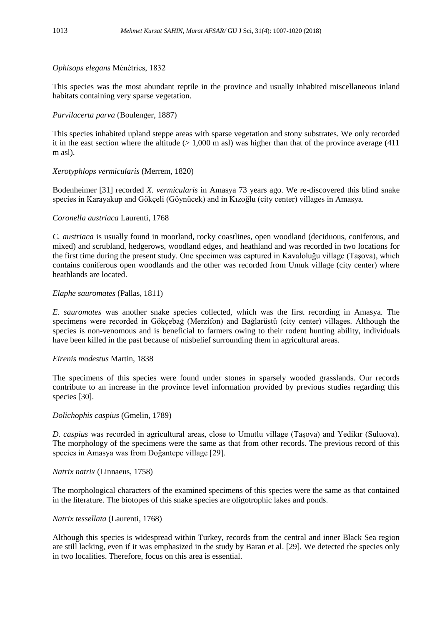## *Ophisops elegans* Ménétries, 1832

This species was the most abundant reptile in the province and usually inhabited miscellaneous inland habitats containing very sparse vegetation.

## *Parvilacerta parva* (Boulenger, 1887)

This species inhabited upland steppe areas with sparse vegetation and stony substrates. We only recorded it in the east section where the altitude  $(> 1,000 \text{ m as}1)$  was higher than that of the province average (411) m asl).

## *Xerotyphlops vermicularis* (Merrem, 1820)

Bodenheimer [31] recorded *X. vermicularis* in Amasya 73 years ago. We re-discovered this blind snake species in Karayakup and Gökçeli (Göynücek) and in Kızoğlu (city center) villages in Amasya.

## *Coronella austriaca* Laurenti, 1768

*C. austriaca* is usually found in moorland, rocky coastlines, open woodland (deciduous, coniferous, and mixed) and scrubland, hedgerows, woodland edges, and heathland and was recorded in two locations for the first time during the present study. One specimen was captured in Kavaloluğu village (Taşova), which contains coniferous open woodlands and the other was recorded from Umuk village (city center) where heathlands are located.

## *Elaphe sauromates* (Pallas, 1811)

*E. sauromates* was another snake species collected, which was the first recording in Amasya. The specimens were recorded in Gökçebağ (Merzifon) and Bağlarüstü (city center) villages. Although the species is non-venomous and is beneficial to farmers owing to their rodent hunting ability, individuals have been killed in the past because of misbelief surrounding them in agricultural areas.

#### *Eirenis modestus* Martin, 1838

The specimens of this species were found under stones in sparsely wooded grasslands. Our records contribute to an increase in the province level information provided by previous studies regarding this species [30].

#### *Dolichophis caspius* (Gmelin, 1789)

*D. caspius* was recorded in agricultural areas, close to Umutlu village (Taşova) and Yedikır (Suluova). The morphology of the specimens were the same as that from other records. The previous record of this species in Amasya was from Doğantepe village [29].

#### *Natrix natrix* (Linnaeus, 1758)

The morphological characters of the examined specimens of this species were the same as that contained in the literature. The biotopes of this snake species are oligotrophic lakes and ponds.

#### *Natrix tessellata* (Laurenti, 1768)

Although this species is widespread within Turkey, records from the central and inner Black Sea region are still lacking, even if it was emphasized in the study by Baran et al. [29]. We detected the species only in two localities. Therefore, focus on this area is essential.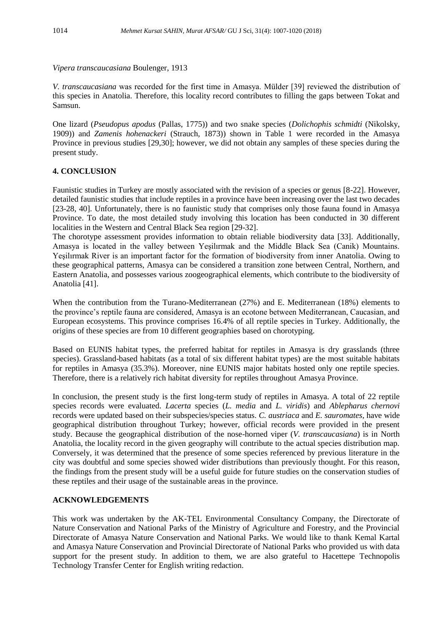*Vipera transcaucasiana* Boulenger, 1913

*V. transcaucasiana* was recorded for the first time in Amasya. Mülder [39] reviewed the distribution of this species in Anatolia. Therefore, this locality record contributes to filling the gaps between Tokat and Samsun.

One lizard (*Pseudopus apodus* (Pallas, 1775)) and two snake species (*Dolichophis schmidti* (Nikolsky, 1909)) and *Zamenis hohenackeri* (Strauch, 1873)) shown in Table 1 were recorded in the Amasya Province in previous studies [29,30]; however, we did not obtain any samples of these species during the present study.

## **4. CONCLUSION**

Faunistic studies in Turkey are mostly associated with the revision of a species or genus [8-22]. However, detailed faunistic studies that include reptiles in a province have been increasing over the last two decades [23-28, 40]. Unfortunately, there is no faunistic study that comprises only those fauna found in Amasya Province. To date, the most detailed study involving this location has been conducted in 30 different localities in the Western and Central Black Sea region [29-32].

The chorotype assessment provides information to obtain reliable biodiversity data [33]. Additionally, Amasya is located in the valley between Yeşilırmak and the Middle Black Sea (Canik) Mountains. Yeşilırmak River is an important factor for the formation of biodiversity from inner Anatolia. Owing to these geographical patterns, Amasya can be considered a transition zone between Central, Northern, and Eastern Anatolia, and possesses various zoogeographical elements, which contribute to the biodiversity of Anatolia [41].

When the contribution from the Turano-Mediterranean (27%) and E. Mediterranean (18%) elements to the province's reptile fauna are considered, Amasya is an ecotone between Mediterranean, Caucasian, and European ecosystems. This province comprises 16.4% of all reptile species in Turkey. Additionally, the origins of these species are from 10 different geographies based on chorotyping.

Based on EUNIS habitat types, the preferred habitat for reptiles in Amasya is dry grasslands (three species). Grassland-based habitats (as a total of six different habitat types) are the most suitable habitats for reptiles in Amasya (35.3%). Moreover, nine EUNIS major habitats hosted only one reptile species. Therefore, there is a relatively rich habitat diversity for reptiles throughout Amasya Province.

In conclusion, the present study is the first long-term study of reptiles in Amasya. A total of 22 reptile species records were evaluated. *Lacerta* species (*L. media* and *L. viridis*) and *Ablepharus chernovi* records were updated based on their subspecies/species status. *C. austriaca* and *E. sauromates,* have wide geographical distribution throughout Turkey; however, official records were provided in the present study. Because the geographical distribution of the nose-horned viper (*V. transcaucasiana*) is in North Anatolia, the locality record in the given geography will contribute to the actual species distribution map. Conversely, it was determined that the presence of some species referenced by previous literature in the city was doubtful and some species showed wider distributions than previously thought. For this reason, the findings from the present study will be a useful guide for future studies on the conservation studies of these reptiles and their usage of the sustainable areas in the province.

## **ACKNOWLEDGEMENTS**

This work was undertaken by the AK-TEL Environmental Consultancy Company, the Directorate of Nature Conservation and National Parks of the Ministry of Agriculture and Forestry, and the Provincial Directorate of Amasya Nature Conservation and National Parks. We would like to thank Kemal Kartal and Amasya Nature Conservation and Provincial Directorate of National Parks who provided us with data support for the present study. In addition to them, we are also grateful to Hacettepe Technopolis Technology Transfer Center for English writing redaction.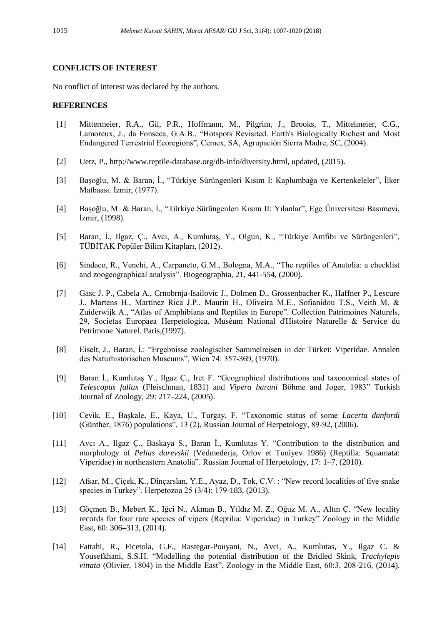#### **CONFLICTS OF INTEREST**

No conflict of interest was declared by the authors.

#### **REFERENCES**

- [1] Mittermeier, R.A., Gil, P.R., Hoffmann, M., Pilgrim, J., Brooks, T., Mittelmeier, C.G., Lamoreux, J., da Fonseca, G.A.B., "Hotspots Revisited. Earth's Biologically Richest and Most Endangered Terrestrial Ecoregions", Cemex, SA, Agrupación Sierra Madre, SC, (2004).
- [2] Uetz, P., http://www.reptile-database.org/db-info/diversity.html, updated, (2015).
- [3] Başoğlu, M. & Baran, İ., "Türkiye Sürüngenleri Kısım I: Kaplumbağa ve Kertenkeleler", İlker Matbaası. İzmir, (1977).
- [4] Başoğlu, M. & Baran, İ., "Türkiye Sürüngenleri Kısım II: Yılanlar", Ege Üniversitesi Basımevi, İzmir, (1998).
- [5] Baran, İ., Ilgaz, Ç., Avcı, A., Kumlutaş, Y., Olgun, K., "Türkiye Amfibi ve Sürüngenleri", TÜBİTAK Popüler Bilim Kitapları, (2012).
- [6] Sindaco, R., Venchi, A., Carpaneto, G.M., Bologna, M.A., "The reptiles of Anatolia: a checklist and zoogeographical analysis". Biogeographia, 21, 441-554, (2000).
- [7] Gasc J. P., Cabela A., Crnobrnja-Isailovic J., Dolmen D., Grossenbacher K., Haffner P., Lescure J., Martens H., Martínez Rica J.P., Maurin H., Oliveira M.E., Sofianidou T.S., Veith M. & Zuiderwijk A., "Atlas of Amphibians and Reptiles in Europe". Collection Patrimoines Naturels, 29, Societas Europaea Herpetologica, Muséum National d'Histoire Naturelle & Service du Petrimone Naturel. Paris,(1997).
- [8] Eiselt, J., Baran, İ.: "Ergebnisse zoologischer Sammelreisen in der Türkei: Viperidae. Annalen des Naturhistorischen Museums", Wien 74: 357-369, (1970).
- [9] Baran İ., Kumlutaş Y., Ilgaz Ç., Iret F. "Geographical distributions and taxonomical states of *Telescopus fallax* (Fleischman, 1831) and *Vipera barani* Böhme and Joger, 1983" Turkish Journal of Zoology, 29: 217–224, (2005).
- [10] Cevik, E., Başkale, E., Kaya, U., Turgay, F. "Taxonomic status of some *Lacerta danfordi* (Günther, 1876) populations", 13 (2), Russian Journal of Herpetology, 89-92, (2006).
- [11] Avcı A., Ilgaz Ç., Baskaya S., Baran İ., Kumlutas Y. "Contribution to the distribution and morphology of *Pelias darevskii* (Vedmederja, Orlov et Tuniyev 1986) (Reptilia: Squamata: Viperidae) in northeastern Anatolia". Russian Journal of Herpetology, 17: 1–7, (2010).
- [12] Afsar, M., Çiçek, K., Dinçarslan, Y.E., Ayaz, D., Tok, C.V. : "New record localities of five snake species in Turkey". Herpetozoa 25 (3/4): 179-183, (2013).
- [13] Göçmen B., Mebert K., Iğci N., Akman B., Yıldız M. Z., Oğuz M. A., Altın Ç. "New locality records for four rare species of vipers (Reptilia: Viperidae) in Turkey" Zoology in the Middle East, 60: 306**–**313, (2014).
- [14] Fattahi, R., Ficetola, G.F., Rastegar-Pouyani, N., Avci, A., Kumlutas, Y., Ilgaz C. & Yousefkhani, S.S.H. "Modelling the potential distribution of the Bridled Skink, *Trachylepis vittata* (Olivier, 1804) in the Middle East", Zoology in the Middle East, 60:3, 208-216, (2014).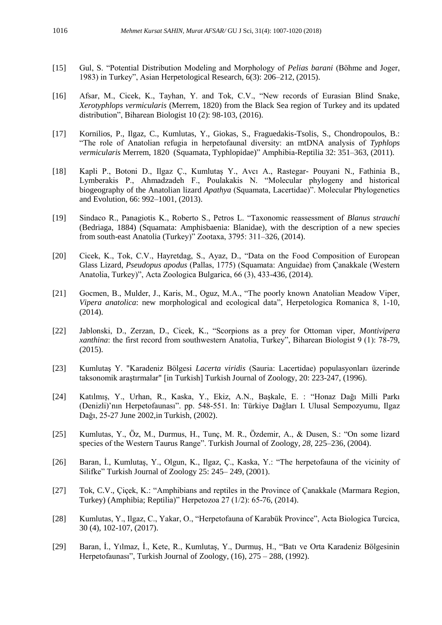- [15] Gul, S. "Potential Distribution Modeling and Morphology of *Pelias barani* (Böhme and Joger, 1983) in Turkey", Asian Herpetological Research, 6(3): 206–212, (2015).
- [16] Afsar, M., Cicek, K., Tayhan, Y. and Tok, C.V., "New records of Eurasian Blind Snake, *Xerotyphlops vermicularis* (Merrem, 1820) from the Black Sea region of Turkey and its updated distribution", Biharean Biologist 10 (2): 98-103, (2016).
- [17] Kornilios, P., Ilgaz, C., Kumlutas, Y., Giokas, S., Fraguedakis-Tsolis, S., Chondropoulos, B.: "The role of Anatolian refugia in herpetofaunal diversity: an mtDNA analysis of *Typhlops vermicularis* Merrem, 1820 (Squamata, Typhlopidae)" Amphibia-Reptilia 32: 351–363, (2011).
- [18] Kapli P., Botoni D., Ilgaz Ç., Kumlutaş Y., Avcı A., Rastegar- Pouyani N., Fathinia B., Lymberakis P., Ahmadzadeh F., Poulakakis N. "Molecular phylogeny and historical biogeography of the Anatolian lizard *Apathya* (Squamata, Lacertidae)". Molecular Phylogenetics and Evolution, 66: 992–1001, (2013).
- [19] Sindaco R., Panagiotis K., Roberto S., Petros L. "Taxonomic reassessment of *Blanus strauchi*  (Bedriaga, 1884) (Squamata: Amphisbaenia: Blanidae), with the description of a new species from south-east Anatolia (Turkey)" Zootaxa, 3795: 311–326, (2014).
- [20] Cicek, K., Tok, C.V., Hayretdag, S., Ayaz, D., "Data on the Food Composition of European Glass Lizard, *Pseudopus apodus* (Pallas, 1775) (Squamata: Anguidae) from Çanakkale (Western Anatolia, Turkey)", Acta Zoologica Bulgarica, 66 (3), 433-436, (2014).
- [21] Gocmen, B., Mulder, J., Karis, M., Oguz, M.A., "The poorly known Anatolian Meadow Viper, *Vipera anatolica*: new morphological and ecological data", Herpetologica Romanica 8, 1-10, (2014).
- [22] Jablonski, D., Zerzan, D., Cicek, K., "Scorpions as a prey for Ottoman viper, *Montivipera xanthina*: the first record from southwestern Anatolia, Turkey", Biharean Biologist 9 (1): 78-79, (2015).
- [23] Kumlutaş Y. "Karadeniz Bölgesi *Lacerta viridis* (Sauria: Lacertidae) populasyonları üzerinde taksonomik araştırmalar" [in Turkish] Turkish Journal of Zoology, 20: 223-247, (1996).
- [24] Katılmış, Y., Urhan, R., Kaska, Y., Ekiz, A.N., Başkale, E. : "Honaz Dağı Milli Parkı (Denizli)'nın Herpetofaunası". pp. 548-551. In: Türkiye Dağları I. Ulusal Sempozyumu*,* Ilgaz Dağı, 25-27 June 2002,in Turkish, (2002).
- [25] Kumlutas, Y., Öz, M., Durmus, H., Tunç, M. R., Özdemir, A., & Dusen, S.: "On some lizard species of the Western Taurus Range". Turkish Journal of Zoology*, 28,* 225–236, (2004).
- [26] Baran, İ., Kumlutaş, Y., Olgun, K., Ilgaz, Ç., Kaska, Y.: "The herpetofauna of the vicinity of Silifke" Turkish Journal of Zoology 25: 245– 249, (2001).
- [27] Tok, C.V., Çiçek, K.: "Amphibians and reptiles in the Province of Çanakkale (Marmara Region, Turkey) (Amphibia; Reptilia)" Herpetozoa 27 (1/2): 65-76, (2014).
- [28] Kumlutas, Y., Ilgaz, C., Yakar, O., "Herpetofauna of Karabük Province", Acta Biologica Turcica, 30 (4), 102-107, (2017).
- [29] Baran, İ., Yılmaz, İ., Kete, R., Kumlutaş, Y., Durmuş, H., "Batı ve Orta Karadeniz Bölgesinin Herpetofaunası", Turkish Journal of Zoology, (16), 275 – 288, (1992).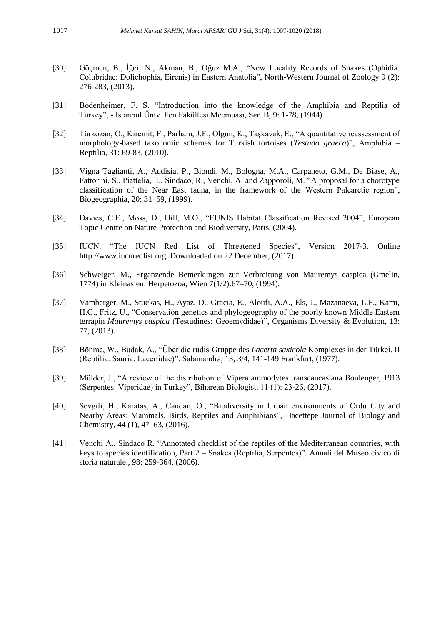- [30] Göçmen, B., İğci, N., Akman, B., Oğuz M.A., "New Locality Records of Snakes (Ophidia: Colubridae: Dolichophis, Eirenis) in Eastern Anatolia", North-Western Journal of Zoology 9 (2): 276-283, (2013).
- [31] Bodenheimer, F. S. "Introduction into the knowledge of the Amphibia and Reptilia of Turkey", - Istanbul Üniv. Fen Fakültesi Mecmuası, Ser. B, 9: 1-78, (1944).
- [32] Türkozan, O., Kiremit, F., Parham, J.F., Olgun, K., Taşkavak, E., "A quantitative reassessment of morphology-based taxonomic schemes for Turkish tortoises (*Testudo graeca*)", Amphibia – Reptilia, 31: 69-83, (2010).
- [33] Vigna Taglianti, A., Audisia, P., Biondi, M., Bologna, M.A., Carpaneto, G.M., De Biase, A., Fattorini, S., Piattelia, E., Sindaco, R., Venchi, A. and Zapporoli, M. "A proposal for a chorotype classification of the Near East fauna, in the framework of the Western Palearctic region", Biogeographia, 20: 31–59, (1999).
- [34] Davies, C.E., Moss, D., Hill, M.O., "EUNIS Habitat Classification Revised 2004", European Topic Centre on Nature Protection and Biodiversity, Paris, (2004).
- [35] IUCN. "The IUCN Red List of Threatened Species", Version 2017-3. Online http://www.iucnredlist.org. Downloaded on 22 December, (2017).
- [36] Schweiger, M., Erganzende Bemerkungen zur Verbreitung von Mauremys caspica (Gmelin, 1774) in Kleinasien. Herpetozoa, Wien 7(1/2):67–70, (1994).
- [37] Vamberger, M., Stuckas, H., Ayaz, D., Gracia, E., Aloufi, A.A., Els, J., Mazanaeva, L.F., Kami, H.G., Fritz, U., "Conservation genetics and phylogeography of the poorly known Middle Eastern terrapin *Mauremys caspica* (Testudines: Geoemydidae)", Organisms Diversity & Evolution, 13: 77, (2013).
- [38] Böhme, W., Budak, A., "Über die rudis-Gruppe des *Lacerta saxicola* Komplexes in der Türkei, II (Reptilia: Sauria: Lacertidae)". Salamandra, 13, 3/4, 141-149 Frankfurt, (1977).
- [39] Mülder, J., "A review of the distribution of Vipera ammodytes transcaucasiana Boulenger, 1913 (Serpentes: Viperidae) in Turkey", Biharean Biologist, 11 (1): 23-26, (2017).
- [40] Sevgili, H., Karataş, A., Candan, O., "Biodiversity in Urban environments of Ordu City and Nearby Areas: Mammals, Birds, Reptiles and Amphibians", Hacettepe Journal of Biology and Chemistry, 44 (1), 47–63, (2016).
- [41] Venchi A., Sindaco R. "Annotated checklist of the reptiles of the Mediterranean countries, with keys to species identification, Part 2 – Snakes (Reptilia, Serpentes)". Annali del Museo civico di storia naturale., 98: 259-364, (2006).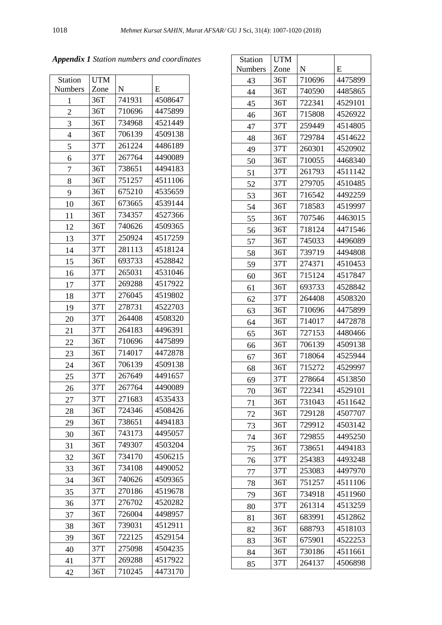| <b>Station</b> | <b>UTM</b> |           |         |
|----------------|------------|-----------|---------|
| <b>Numbers</b> | Zone       | ${\bf N}$ | E       |
| 1              | 36T        | 741931    | 4508647 |
| $\overline{2}$ | 36T        | 710696    | 4475899 |
| 3              | 36T        | 734968    | 4521449 |
| 4              | 36T        | 706139    | 4509138 |
| 5              | 37T        | 261224    | 4486189 |
| 6              | 37T        | 267764    | 4490089 |
| 7              | 36T        | 738651    | 4494183 |
| 8              | 36T        | 751257    | 4511106 |
| 9              | 36T        | 675210    | 4535659 |
| 10             | 36T        | 673665    | 4539144 |
| 11             | 36T        | 734357    | 4527366 |
| 12             | 36T        | 740626    | 4509365 |
| 13             | 37T        | 250924    | 4517259 |
| 14             | 37T        | 281113    | 4518124 |
| 15             | 36T        | 693733    | 4528842 |
| 16             | 37T        | 265031    | 4531046 |
| 17             | 37T        | 269288    | 4517922 |
| 18             | 37T        | 276045    | 4519802 |
| 19             | 37T        | 278731    | 4522703 |
| 20             | 37T        | 264408    | 4508320 |
| 21             | 37T        | 264183    | 4496391 |
| 22             | 36T        | 710696    | 4475899 |
| 23             | 36T        | 714017    | 4472878 |
| 24             | 36T        | 706139    | 4509138 |
| 25             | 37T        | 267649    | 4491657 |
| 26             | 37T        | 267764    | 4490089 |
| 27             | 37T        | 271683    | 4535433 |
| 28             | 36T        | 724346    | 4508426 |
| 29             | 36T        | 738651    | 4494183 |
| 30             | 36T        | 743173    | 4495057 |
| 31             | 36T        | 749307    | 4503204 |
| 32             | 36T        | 734170    | 4506215 |
| 33             | 36T        | 734108    | 4490052 |
| 34             | 36T        | 740626    | 4509365 |
| 35             | 37T        | 270186    | 4519678 |
| 36             | 37T        | 276702    | 4520282 |
| 37             | 36T        | 726004    | 4498957 |
| 38             | 36T        | 739031    | 4512911 |
| 39             | 36T        | 722125    | 4529154 |
| 40             | 37T        | 275098    | 4504235 |
| 41             | 37T        | 269288    | 4517922 |
| 42             | 36T        | 710245    | 4473170 |

| <b>Station</b> | <b>UTM</b> |        |         |
|----------------|------------|--------|---------|
| <b>Numbers</b> | Zone       | N      | E       |
| 43             | 36T        | 710696 | 4475899 |
| 44             | 36T        | 740590 | 4485865 |
| 45             | 36T        | 722341 | 4529101 |
| 46             | 36T        | 715808 | 4526922 |
| 47             | 37T        | 259449 | 4514805 |
| 48             | 36T        | 729784 | 4514622 |
| 49             | 37T        | 260301 | 4520902 |
| 50             | 36T        | 710055 | 4468340 |
| 51             | 37T        | 261793 | 4511142 |
| 52             | 37T        | 279705 | 4510485 |
| 53             | 36T        | 716542 | 4492259 |
| 54             | 36T        | 718583 | 4519997 |
| 55             | 36T        | 707546 | 4463015 |
| 56             | 36T        | 718124 | 4471546 |
| 57             | 36T        | 745033 | 4496089 |
| 58             | 36T        | 739719 | 4494808 |
| 59             | 37T        | 274371 | 4510453 |
| 60             | 36T        | 715124 | 4517847 |
| 61             | 36T        | 693733 | 4528842 |
| 62             | 37T        | 264408 | 4508320 |
| 63             | 36T        | 710696 | 4475899 |
| 64             | 36T        | 714017 | 4472878 |
| 65             | 36T        | 727153 | 4480466 |
| 66             | 36T        | 706139 | 4509138 |
| 67             | 36T        | 718064 | 4525944 |
| 68             | 36T        | 715272 | 4529997 |
| 69             | 37T        | 278664 | 4513850 |
| 70             | 36T        | 722341 | 4529101 |
| 71             | 36T        | 731043 | 4511642 |
| 72             | 36T        | 729128 | 4507707 |
| 73             | 36T        | 729912 | 4503142 |
| 74             | 36T        | 729855 | 4495250 |
| 75             | 36T        | 738651 | 4494183 |
| 76             | 37T        | 254383 | 4493248 |
| 77             | 37T        | 253083 | 4497970 |
| 78             | 36T        | 751257 | 4511106 |
| 79             | 36T        | 734918 | 4511960 |
| 80             | 37T        | 261314 | 4513259 |
| 81             | 36T        | 683991 | 4512862 |
| 82             | 36T        | 688793 | 4518103 |
| 83             | 36T        | 675901 | 4522253 |
| 84             | 36T        | 730186 | 4511661 |
| 85             | 37T        | 264137 | 4506898 |

*Appendix 1 Station numbers and coordinates*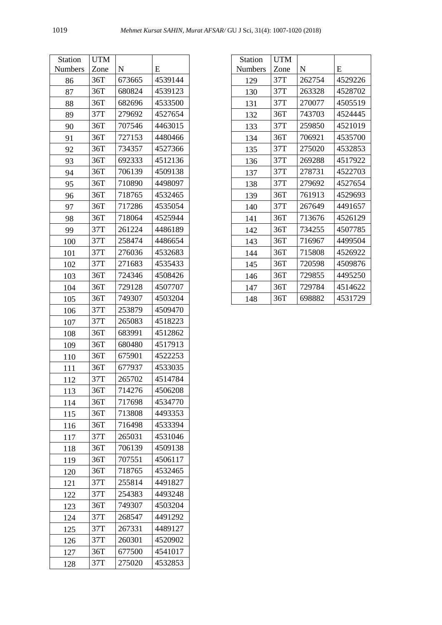| Station        | UTM  |        |         |
|----------------|------|--------|---------|
| <b>Numbers</b> | Zone | N      | E       |
| 86             | 36T  | 673665 | 4539144 |
| 87             | 36T  | 680824 | 4539123 |
| 88             | 36T  | 682696 | 4533500 |
| 89             | 37T  | 279692 | 4527654 |
| 90             | 36T  | 707546 | 4463015 |
| 91             | 36T  | 727153 | 4480466 |
| 92             | 36T  | 734357 | 4527366 |
| 93             | 36T  | 692333 | 4512136 |
| 94             | 36T  | 706139 | 4509138 |
| 95             | 36T  | 710890 | 4498097 |
| 96             | 36T  | 718765 | 4532465 |
| 97             | 36T  | 717286 | 4535054 |
| 98             | 36T  | 718064 | 4525944 |
| 99             | 37T  | 261224 | 4486189 |
| 100            | 37T  | 258474 | 4486654 |
| 101            | 37T  | 276036 | 4532683 |
| 102            | 37T  | 271683 | 4535433 |
| 103            | 36T  | 724346 | 4508426 |
| 104            | 36T  | 729128 | 4507707 |
| 105            | 36T  | 749307 | 4503204 |
| 106            | 37T  | 253879 | 4509470 |
| 107            | 37T  | 265083 | 4518223 |
| 108            | 36T  | 683991 | 4512862 |
| 109            | 36T  | 680480 | 4517913 |
| 110            | 36T  | 675901 | 4522253 |
| 111            | 36T  | 677937 | 4533035 |
| 112            | 37T  | 265702 | 4514784 |
| 113            | 36T  | 714276 | 4506208 |
| 114            | 36T  | 717698 | 4534770 |
| 115            | 36T  | 713808 | 4493353 |
| 116            | 36T  | 716498 | 4533394 |
| 117            | 37T  | 265031 | 4531046 |
| 118            | 36T  | 706139 | 4509138 |
| 119            | 36T  | 707551 | 4506117 |
| 120            | 36T  | 718765 | 4532465 |
| 121            | 37T  | 255814 | 4491827 |
| 122            | 37T  | 254383 | 4493248 |
| 123            | 36T  | 749307 | 4503204 |
| 124            | 37T  | 268547 | 4491292 |
| 125            | 37T  | 267331 | 4489127 |
| 126            | 37T  | 260301 | 4520902 |
| 127            | 36T  | 677500 | 4541017 |
| 128            | 37T  | 275020 | 4532853 |

| <b>Station</b> | <b>UTM</b> |        |         |
|----------------|------------|--------|---------|
| <b>Numbers</b> | Zone       | N      | E       |
| 129            | 37T        | 262754 | 4529226 |
| 130            | 37T        | 263328 | 4528702 |
| 131            | 37T        | 270077 | 4505519 |
| 132            | 36T        | 743703 | 4524445 |
| 133            | 37T        | 259850 | 4521019 |
| 134            | 36T        | 706921 | 4535700 |
| 135            | 37T        | 275020 | 4532853 |
| 136            | 37T        | 269288 | 4517922 |
| 137            | 37T        | 278731 | 4522703 |
| 138            | 37T        | 279692 | 4527654 |
| 139            | 36T        | 761913 | 4529693 |
| 140            | 37T        | 267649 | 4491657 |
| 141            | 36T        | 713676 | 4526129 |
| 142            | 36T        | 734255 | 4507785 |
| 143            | 36T        | 716967 | 4499504 |
| 144            | 36T        | 715808 | 4526922 |
| 145            | 36T        | 720598 | 4509876 |
| 146            | 36T        | 729855 | 4495250 |
| 147            | 36T        | 729784 | 4514622 |
| 148            | 36T        | 698882 | 4531729 |